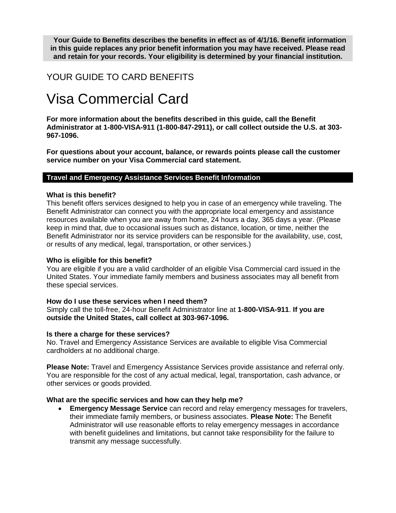**Your Guide to Benefits describes the benefits in effect as of 4/1/16. Benefit information in this guide replaces any prior benefit information you may have received. Please read and retain for your records. Your eligibility is determined by your financial institution.**

# YOUR GUIDE TO CARD BENEFITS

# Visa Commercial Card

**For more information about the benefits described in this guide, call the Benefit Administrator at 1-800-VISA-911 (1-800-847-2911), or call collect outside the U.S. at 303- 967-1096.**

**For questions about your account, balance, or rewards points please call the customer service number on your Visa Commercial card statement.**

#### **Travel and Emergency Assistance Services Benefit Information**

#### **What is this benefit?**

This benefit offers services designed to help you in case of an emergency while traveling. The Benefit Administrator can connect you with the appropriate local emergency and assistance resources available when you are away from home, 24 hours a day, 365 days a year. (Please keep in mind that, due to occasional issues such as distance, location, or time, neither the Benefit Administrator nor its service providers can be responsible for the availability, use, cost, or results of any medical, legal, transportation, or other services.)

#### **Who is eligible for this benefit?**

You are eligible if you are a valid cardholder of an eligible Visa Commercial card issued in the United States. Your immediate family members and business associates may all benefit from these special services.

#### **How do I use these services when I need them?**

Simply call the toll-free, 24-hour Benefit Administrator line at **1-800-VISA-911**. **If you are outside the United States, call collect at 303-967-1096.**

#### **Is there a charge for these services?**

No. Travel and Emergency Assistance Services are available to eligible Visa Commercial cardholders at no additional charge.

**Please Note:** Travel and Emergency Assistance Services provide assistance and referral only. You are responsible for the cost of any actual medical, legal, transportation, cash advance, or other services or goods provided.

#### **What are the specific services and how can they help me?**

 **Emergency Message Service** can record and relay emergency messages for travelers, their immediate family members, or business associates. **Please Note:** The Benefit Administrator will use reasonable efforts to relay emergency messages in accordance with benefit guidelines and limitations, but cannot take responsibility for the failure to transmit any message successfully.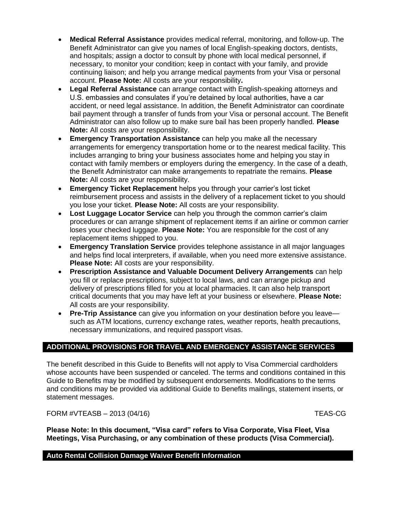- **Medical Referral Assistance** provides medical referral, monitoring, and follow-up. The Benefit Administrator can give you names of local English-speaking doctors, dentists, and hospitals; assign a doctor to consult by phone with local medical personnel, if necessary, to monitor your condition; keep in contact with your family, and provide continuing liaison; and help you arrange medical payments from your Visa or personal account. **Please Note:** All costs are your responsibility**.**
- **Legal Referral Assistance** can arrange contact with English-speaking attorneys and U.S. embassies and consulates if you're detained by local authorities, have a car accident, or need legal assistance. In addition, the Benefit Administrator can coordinate bail payment through a transfer of funds from your Visa or personal account. The Benefit Administrator can also follow up to make sure bail has been properly handled. **Please Note:** All costs are your responsibility.
- **Emergency Transportation Assistance** can help you make all the necessary arrangements for emergency transportation home or to the nearest medical facility. This includes arranging to bring your business associates home and helping you stay in contact with family members or employers during the emergency. In the case of a death, the Benefit Administrator can make arrangements to repatriate the remains. **Please Note:** All costs are your responsibility.
- **Emergency Ticket Replacement** helps you through your carrier's lost ticket reimbursement process and assists in the delivery of a replacement ticket to you should you lose your ticket. **Please Note:** All costs are your responsibility.
- **Lost Luggage Locator Service** can help you through the common carrier's claim procedures or can arrange shipment of replacement items if an airline or common carrier loses your checked luggage. **Please Note:** You are responsible for the cost of any replacement items shipped to you.
- **Emergency Translation Service** provides telephone assistance in all major languages and helps find local interpreters, if available, when you need more extensive assistance. **Please Note:** All costs are your responsibility.
- **Prescription Assistance and Valuable Document Delivery Arrangements** can help you fill or replace prescriptions, subject to local laws, and can arrange pickup and delivery of prescriptions filled for you at local pharmacies. It can also help transport critical documents that you may have left at your business or elsewhere. **Please Note:** All costs are your responsibility.
- **Pre-Trip Assistance** can give you information on your destination before you leave such as ATM locations, currency exchange rates, weather reports, health precautions, necessary immunizations, and required passport visas.

# **ADDITIONAL PROVISIONS FOR TRAVEL AND EMERGENCY ASSISTANCE SERVICES**

The benefit described in this Guide to Benefits will not apply to Visa Commercial cardholders whose accounts have been suspended or canceled. The terms and conditions contained in this Guide to Benefits may be modified by subsequent endorsements. Modifications to the terms and conditions may be provided via additional Guide to Benefits mailings, statement inserts, or statement messages.

FORM #VTEASB – 2013 (04/16) TEAS-CG

**Please Note: In this document, "Visa card" refers to Visa Corporate, Visa Fleet, Visa Meetings, Visa Purchasing, or any combination of these products (Visa Commercial).**

## **Auto Rental Collision Damage Waiver Benefit Information**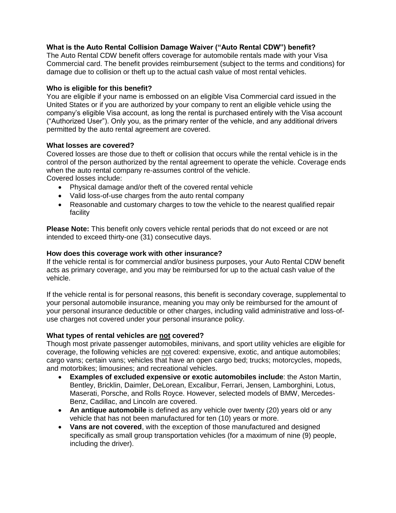# **What is the Auto Rental Collision Damage Waiver ("Auto Rental CDW") benefit?**

The Auto Rental CDW benefit offers coverage for automobile rentals made with your Visa Commercial card. The benefit provides reimbursement (subject to the terms and conditions) for damage due to collision or theft up to the actual cash value of most rental vehicles.

#### **Who is eligible for this benefit?**

You are eligible if your name is embossed on an eligible Visa Commercial card issued in the United States or if you are authorized by your company to rent an eligible vehicle using the company's eligible Visa account, as long the rental is purchased entirely with the Visa account ("Authorized User"). Only you, as the primary renter of the vehicle, and any additional drivers permitted by the auto rental agreement are covered.

#### **What losses are covered?**

Covered losses are those due to theft or collision that occurs while the rental vehicle is in the control of the person authorized by the rental agreement to operate the vehicle. Coverage ends when the auto rental company re-assumes control of the vehicle. Covered losses include:

- Physical damage and/or theft of the covered rental vehicle
- Valid loss-of-use charges from the auto rental company
- Reasonable and customary charges to tow the vehicle to the nearest qualified repair facility

**Please Note:** This benefit only covers vehicle rental periods that do not exceed or are not intended to exceed thirty-one (31) consecutive days.

#### **How does this coverage work with other insurance?**

If the vehicle rental is for commercial and/or business purposes, your Auto Rental CDW benefit acts as primary coverage, and you may be reimbursed for up to the actual cash value of the vehicle.

If the vehicle rental is for personal reasons, this benefit is secondary coverage, supplemental to your personal automobile insurance, meaning you may only be reimbursed for the amount of your personal insurance deductible or other charges, including valid administrative and loss-ofuse charges not covered under your personal insurance policy.

#### **What types of rental vehicles are not covered?**

Though most private passenger automobiles, minivans, and sport utility vehicles are eligible for coverage, the following vehicles are not covered: expensive, exotic, and antique automobiles; cargo vans; certain vans; vehicles that have an open cargo bed; trucks; motorcycles, mopeds, and motorbikes; limousines; and recreational vehicles.

- **Examples of excluded expensive or exotic automobiles include**: the Aston Martin, Bentley, Bricklin, Daimler, DeLorean, Excalibur, Ferrari, Jensen, Lamborghini, Lotus, Maserati, Porsche, and Rolls Royce. However, selected models of BMW, Mercedes-Benz, Cadillac, and Lincoln are covered.
- **An antique automobile** is defined as any vehicle over twenty (20) years old or any vehicle that has not been manufactured for ten (10) years or more.
- **Vans are not covered**, with the exception of those manufactured and designed specifically as small group transportation vehicles (for a maximum of nine (9) people, including the driver).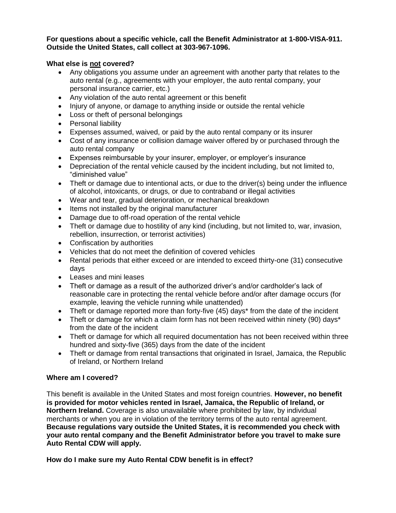#### **For questions about a specific vehicle, call the Benefit Administrator at 1-800-VISA-911. Outside the United States, call collect at 303-967-1096.**

# **What else is not covered?**

- Any obligations you assume under an agreement with another party that relates to the auto rental (e.g., agreements with your employer, the auto rental company, your personal insurance carrier, etc.)
- Any violation of the auto rental agreement or this benefit
- Injury of anyone, or damage to anything inside or outside the rental vehicle
- Loss or theft of personal belongings
- Personal liability
- Expenses assumed, waived, or paid by the auto rental company or its insurer
- Cost of any insurance or collision damage waiver offered by or purchased through the auto rental company
- Expenses reimbursable by your insurer, employer, or employer's insurance
- Depreciation of the rental vehicle caused by the incident including, but not limited to, "diminished value"
- Theft or damage due to intentional acts, or due to the driver(s) being under the influence of alcohol, intoxicants, or drugs, or due to contraband or illegal activities
- Wear and tear, gradual deterioration, or mechanical breakdown
- Items not installed by the original manufacturer
- Damage due to off-road operation of the rental vehicle
- Theft or damage due to hostility of any kind (including, but not limited to, war, invasion, rebellion, insurrection, or terrorist activities)
- Confiscation by authorities
- Vehicles that do not meet the definition of covered vehicles
- Rental periods that either exceed or are intended to exceed thirty-one (31) consecutive days
- Leases and mini leases
- Theft or damage as a result of the authorized driver's and/or cardholder's lack of reasonable care in protecting the rental vehicle before and/or after damage occurs (for example, leaving the vehicle running while unattended)
- Theft or damage reported more than forty-five (45) days\* from the date of the incident
- Theft or damage for which a claim form has not been received within ninety (90) days\* from the date of the incident
- Theft or damage for which all required documentation has not been received within three hundred and sixty-five (365) days from the date of the incident
- Theft or damage from rental transactions that originated in Israel, Jamaica, the Republic of Ireland, or Northern Ireland

# **Where am I covered?**

This benefit is available in the United States and most foreign countries. **However, no benefit is provided for motor vehicles rented in Israel, Jamaica, the Republic of Ireland, or Northern Ireland.** Coverage is also unavailable where prohibited by law, by individual merchants or when you are in violation of the territory terms of the auto rental agreement. **Because regulations vary outside the United States, it is recommended you check with your auto rental company and the Benefit Administrator before you travel to make sure Auto Rental CDW will apply.**

**How do I make sure my Auto Rental CDW benefit is in effect?**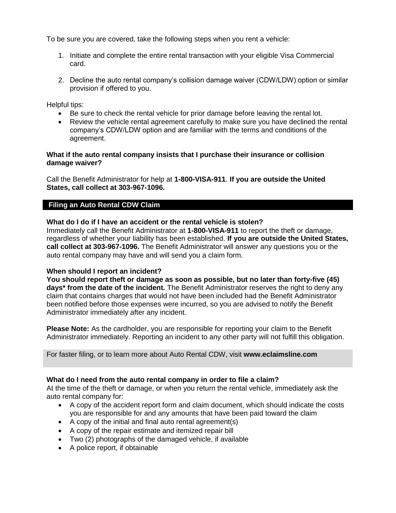To be sure you are covered, take the following steps when you rent a vehicle:

- 1. Initiate and complete the entire rental transaction with your eligible Visa Commercial card.
- 2. Decline the auto rental company's collision damage waiver (CDW/LDW) option or similar provision if offered to you.

Helpful tips:

- Be sure to check the rental vehicle for prior damage before leaving the rental lot.
- Review the vehicle rental agreement carefully to make sure you have declined the rental company's CDW/LDW option and are familiar with the terms and conditions of the agreement.

#### **What if the auto rental company insists that I purchase their insurance or collision damage waiver?**

Call the Benefit Administrator for help at **1-800-VISA-911**. **If you are outside the United States, call collect at 303-967-1096.**

#### **Filing an Auto Rental CDW Claim**

#### **What do I do if I have an accident or the rental vehicle is stolen?**

Immediately call the Benefit Administrator at **1-800-VISA-911** to report the theft or damage, regardless of whether your liability has been established. **If you are outside the United States, call collect at 303-967-1096.** The Benefit Administrator will answer any questions you or the auto rental company may have and will send you a claim form.

#### **When should I report an incident?**

**You should report theft or damage as soon as possible, but no later than forty-five (45) days\* from the date of the incident***.* The Benefit Administrator reserves the right to deny any claim that contains charges that would not have been included had the Benefit Administrator been notified before those expenses were incurred, so you are advised to notify the Benefit Administrator immediately after any incident.

**Please Note:** As the cardholder, you are responsible for reporting your claim to the Benefit Administrator immediately. Reporting an incident to any other party will not fulfill this obligation.

#### For faster filing, or to learn more about Auto Rental CDW, visit **www.eclaimsline.com**

#### **What do I need from the auto rental company in order to file a claim?**

At the time of the theft or damage, or when you return the rental vehicle, immediately ask the auto rental company for:

- A copy of the accident report form and claim document, which should indicate the costs you are responsible for and any amounts that have been paid toward the claim
- A copy of the initial and final auto rental agreement(s)
- A copy of the repair estimate and itemized repair bill
- Two (2) photographs of the damaged vehicle, if available
- A police report, if obtainable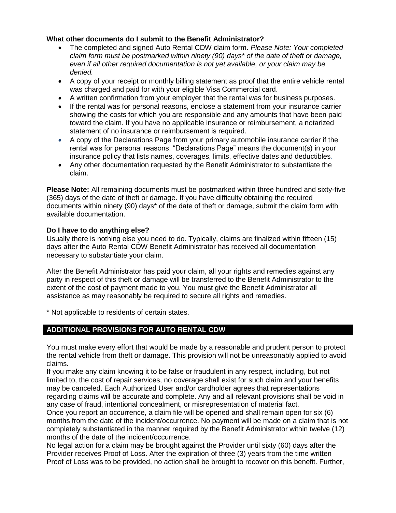# **What other documents do I submit to the Benefit Administrator?**

- The completed and signed Auto Rental CDW claim form. *Please Note: Your completed claim form must be postmarked within ninety (90) days\* of the date of theft or damage, even if all other required documentation is not yet available, or your claim may be denied.*
- A copy of your receipt or monthly billing statement as proof that the entire vehicle rental was charged and paid for with your eligible Visa Commercial card.
- A written confirmation from your employer that the rental was for business purposes.
- If the rental was for personal reasons, enclose a statement from your insurance carrier showing the costs for which you are responsible and any amounts that have been paid toward the claim. If you have no applicable insurance or reimbursement, a notarized statement of no insurance or reimbursement is required.
- A copy of the Declarations Page from your primary automobile insurance carrier if the rental was for personal reasons. "Declarations Page" means the document(s) in your insurance policy that lists names, coverages, limits, effective dates and deductibles.
- Any other documentation requested by the Benefit Administrator to substantiate the claim.

**Please Note:** All remaining documents must be postmarked within three hundred and sixty-five (365) days of the date of theft or damage. If you have difficulty obtaining the required documents within ninety (90) days\* of the date of theft or damage, submit the claim form with available documentation.

## **Do I have to do anything else?**

Usually there is nothing else you need to do. Typically, claims are finalized within fifteen (15) days after the Auto Rental CDW Benefit Administrator has received all documentation necessary to substantiate your claim.

After the Benefit Administrator has paid your claim, all your rights and remedies against any party in respect of this theft or damage will be transferred to the Benefit Administrator to the extent of the cost of payment made to you. You must give the Benefit Administrator all assistance as may reasonably be required to secure all rights and remedies.

\* Not applicable to residents of certain states.

# **ADDITIONAL PROVISIONS FOR AUTO RENTAL CDW**

You must make every effort that would be made by a reasonable and prudent person to protect the rental vehicle from theft or damage. This provision will not be unreasonably applied to avoid claims.

If you make any claim knowing it to be false or fraudulent in any respect, including, but not limited to, the cost of repair services, no coverage shall exist for such claim and your benefits may be canceled. Each Authorized User and/or cardholder agrees that representations regarding claims will be accurate and complete. Any and all relevant provisions shall be void in any case of fraud, intentional concealment, or misrepresentation of material fact.

Once you report an occurrence, a claim file will be opened and shall remain open for six (6) months from the date of the incident/occurrence. No payment will be made on a claim that is not completely substantiated in the manner required by the Benefit Administrator within twelve (12) months of the date of the incident/occurrence.

No legal action for a claim may be brought against the Provider until sixty (60) days after the Provider receives Proof of Loss. After the expiration of three (3) years from the time written Proof of Loss was to be provided, no action shall be brought to recover on this benefit. Further,